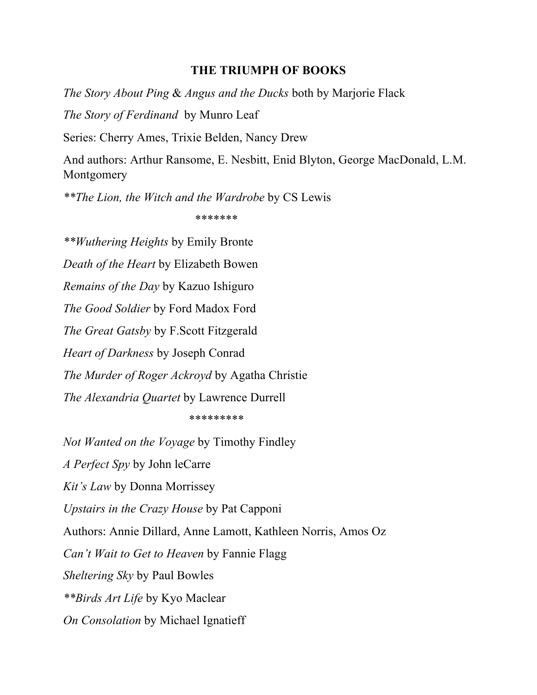## **THE TRIUMPH OF BOOKS**

*The Story About Ping* & *Angus and the Ducks* both by Marjorie Flack

*The Story of Ferdinand* by Munro Leaf

Series: Cherry Ames, Trixie Belden, Nancy Drew

And authors: Arthur Ransome, E. Nesbitt, Enid Blyton, George MacDonald, L.M. Montgomery

*\*\*The Lion, the Witch and the Wardrobe* by CS Lewis

\*\*\*\*\*\*\*

*\*\*Wuthering Heights* by Emily Bronte *Death of the Heart* by Elizabeth Bowen *Remains of the Day* by Kazuo Ishiguro *The Good Soldier* by Ford Madox Ford *The Great Gatsby* by F.Scott Fitzgerald *Heart of Darkness* by Joseph Conrad *The Murder of Roger Ackroyd* by Agatha Christie *The Alexandria Quartet* by Lawrence Durrell

\*\*\*\*\*\*\*\*\*

*Not Wanted on the Voyage* by Timothy Findley *A Perfect Spy* by John leCarre *Kit's Law* by Donna Morrissey *Upstairs in the Crazy House* by Pat Capponi Authors: Annie Dillard, Anne Lamott, Kathleen Norris, Amos Oz *Can't Wait to Get to Heaven* by Fannie Flagg *Sheltering Sky* by Paul Bowles *\*\*Birds Art Life* by Kyo Maclear *On Consolation* by Michael Ignatieff